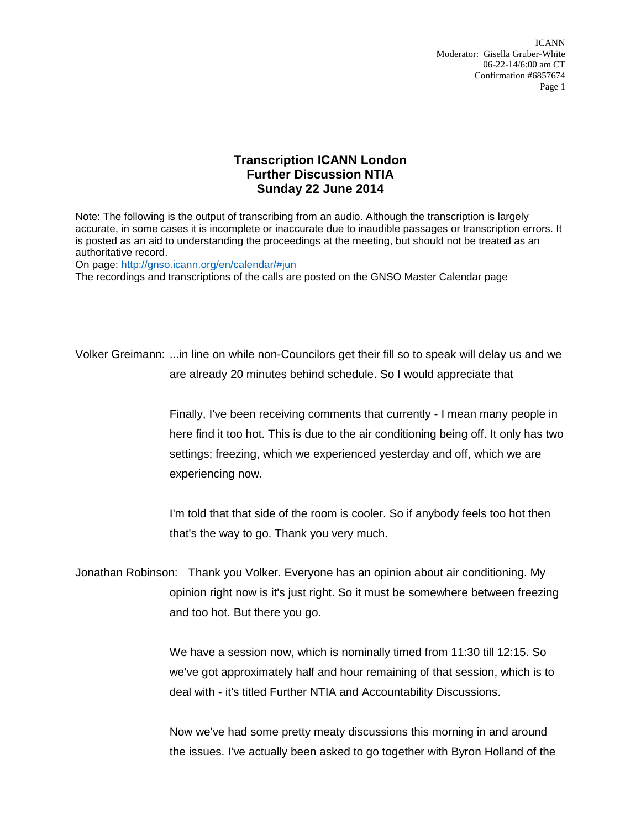ICANN Moderator: Gisella Gruber-White 06-22-14/6:00 am CT Confirmation #6857674 Page 1

## **Transcription ICANN London Further Discussion NTIA Sunday 22 June 2014**

Note: The following is the output of transcribing from an audio. Although the transcription is largely accurate, in some cases it is incomplete or inaccurate due to inaudible passages or transcription errors. It is posted as an aid to understanding the proceedings at the meeting, but should not be treated as an authoritative record.

On page:<http://gnso.icann.org/en/calendar/#jun>

The recordings and transcriptions of the calls are posted on the GNSO Master Calendar page

Volker Greimann: ...in line on while non-Councilors get their fill so to speak will delay us and we are already 20 minutes behind schedule. So I would appreciate that

> Finally, I've been receiving comments that currently - I mean many people in here find it too hot. This is due to the air conditioning being off. It only has two settings; freezing, which we experienced yesterday and off, which we are experiencing now.

I'm told that that side of the room is cooler. So if anybody feels too hot then that's the way to go. Thank you very much.

Jonathan Robinson: Thank you Volker. Everyone has an opinion about air conditioning. My opinion right now is it's just right. So it must be somewhere between freezing and too hot. But there you go.

> We have a session now, which is nominally timed from 11:30 till 12:15. So we've got approximately half and hour remaining of that session, which is to deal with - it's titled Further NTIA and Accountability Discussions.

> Now we've had some pretty meaty discussions this morning in and around the issues. I've actually been asked to go together with Byron Holland of the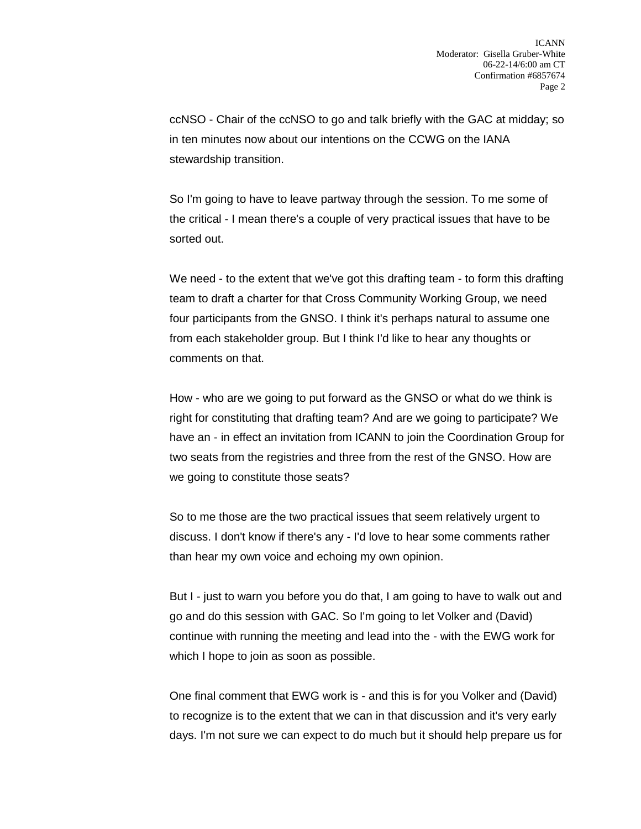ccNSO - Chair of the ccNSO to go and talk briefly with the GAC at midday; so in ten minutes now about our intentions on the CCWG on the IANA stewardship transition.

So I'm going to have to leave partway through the session. To me some of the critical - I mean there's a couple of very practical issues that have to be sorted out.

We need - to the extent that we've got this drafting team - to form this drafting team to draft a charter for that Cross Community Working Group, we need four participants from the GNSO. I think it's perhaps natural to assume one from each stakeholder group. But I think I'd like to hear any thoughts or comments on that.

How - who are we going to put forward as the GNSO or what do we think is right for constituting that drafting team? And are we going to participate? We have an - in effect an invitation from ICANN to join the Coordination Group for two seats from the registries and three from the rest of the GNSO. How are we going to constitute those seats?

So to me those are the two practical issues that seem relatively urgent to discuss. I don't know if there's any - I'd love to hear some comments rather than hear my own voice and echoing my own opinion.

But I - just to warn you before you do that, I am going to have to walk out and go and do this session with GAC. So I'm going to let Volker and (David) continue with running the meeting and lead into the - with the EWG work for which I hope to join as soon as possible.

One final comment that EWG work is - and this is for you Volker and (David) to recognize is to the extent that we can in that discussion and it's very early days. I'm not sure we can expect to do much but it should help prepare us for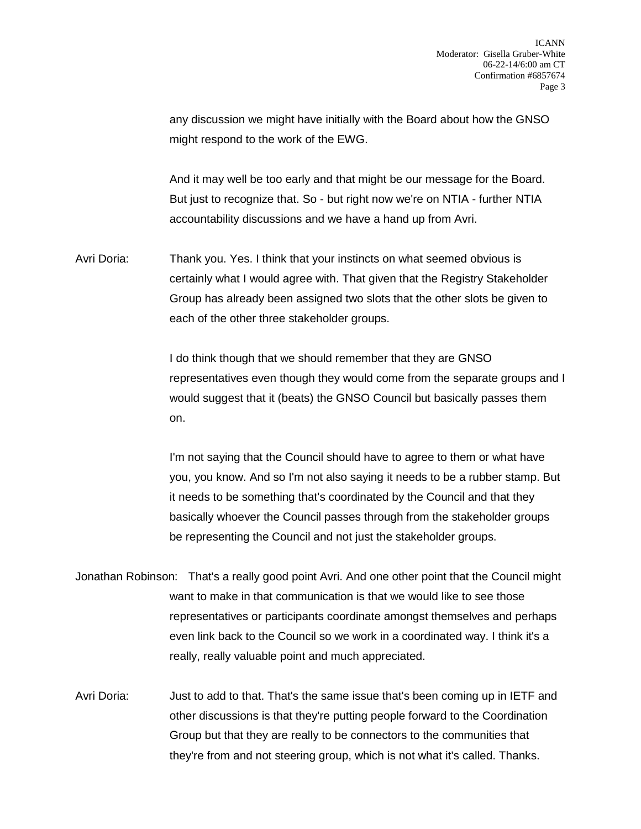any discussion we might have initially with the Board about how the GNSO might respond to the work of the EWG.

And it may well be too early and that might be our message for the Board. But just to recognize that. So - but right now we're on NTIA - further NTIA accountability discussions and we have a hand up from Avri.

Avri Doria: Thank you. Yes. I think that your instincts on what seemed obvious is certainly what I would agree with. That given that the Registry Stakeholder Group has already been assigned two slots that the other slots be given to each of the other three stakeholder groups.

> I do think though that we should remember that they are GNSO representatives even though they would come from the separate groups and I would suggest that it (beats) the GNSO Council but basically passes them on.

I'm not saying that the Council should have to agree to them or what have you, you know. And so I'm not also saying it needs to be a rubber stamp. But it needs to be something that's coordinated by the Council and that they basically whoever the Council passes through from the stakeholder groups be representing the Council and not just the stakeholder groups.

- Jonathan Robinson: That's a really good point Avri. And one other point that the Council might want to make in that communication is that we would like to see those representatives or participants coordinate amongst themselves and perhaps even link back to the Council so we work in a coordinated way. I think it's a really, really valuable point and much appreciated.
- Avri Doria: Just to add to that. That's the same issue that's been coming up in IETF and other discussions is that they're putting people forward to the Coordination Group but that they are really to be connectors to the communities that they're from and not steering group, which is not what it's called. Thanks.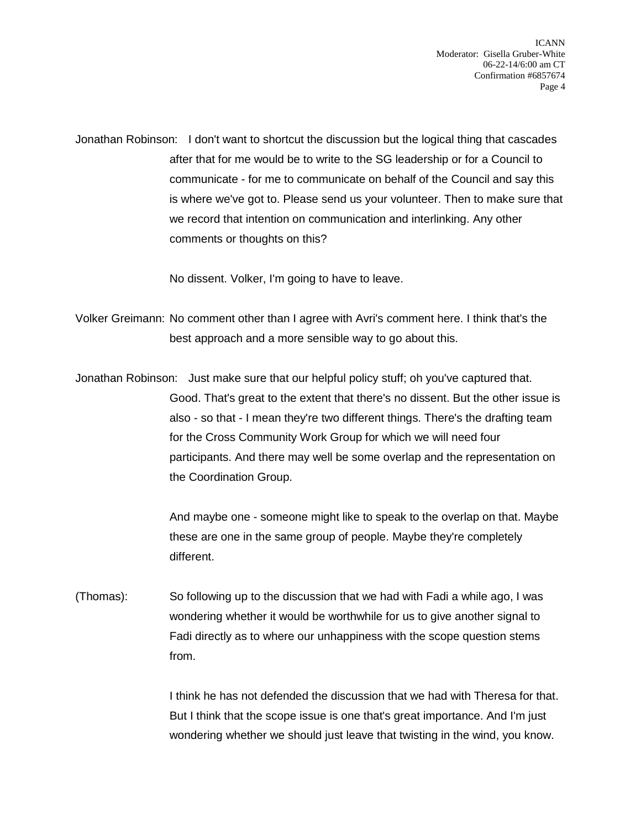Jonathan Robinson: I don't want to shortcut the discussion but the logical thing that cascades after that for me would be to write to the SG leadership or for a Council to communicate - for me to communicate on behalf of the Council and say this is where we've got to. Please send us your volunteer. Then to make sure that we record that intention on communication and interlinking. Any other comments or thoughts on this?

No dissent. Volker, I'm going to have to leave.

Volker Greimann: No comment other than I agree with Avri's comment here. I think that's the best approach and a more sensible way to go about this.

Jonathan Robinson: Just make sure that our helpful policy stuff; oh you've captured that. Good. That's great to the extent that there's no dissent. But the other issue is also - so that - I mean they're two different things. There's the drafting team for the Cross Community Work Group for which we will need four participants. And there may well be some overlap and the representation on the Coordination Group.

> And maybe one - someone might like to speak to the overlap on that. Maybe these are one in the same group of people. Maybe they're completely different.

(Thomas): So following up to the discussion that we had with Fadi a while ago, I was wondering whether it would be worthwhile for us to give another signal to Fadi directly as to where our unhappiness with the scope question stems from.

> I think he has not defended the discussion that we had with Theresa for that. But I think that the scope issue is one that's great importance. And I'm just wondering whether we should just leave that twisting in the wind, you know.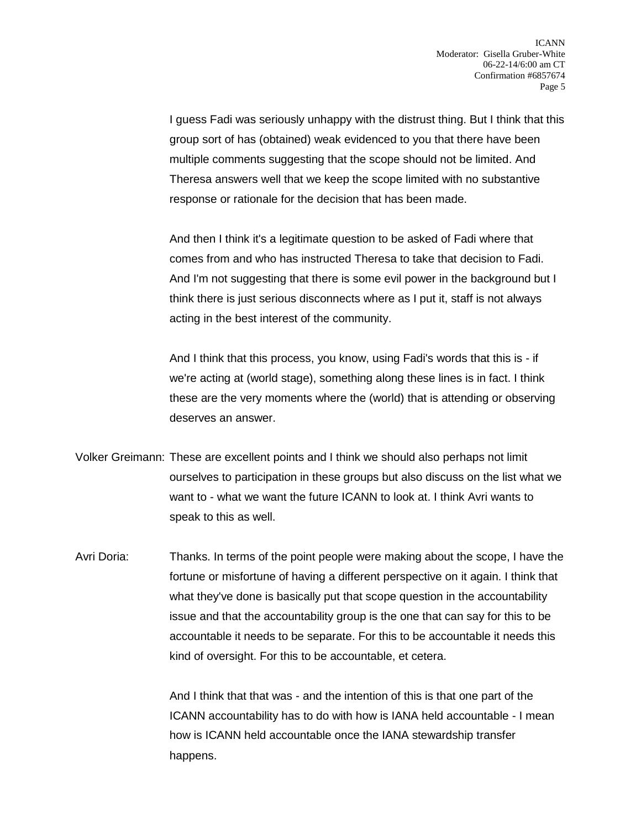I guess Fadi was seriously unhappy with the distrust thing. But I think that this group sort of has (obtained) weak evidenced to you that there have been multiple comments suggesting that the scope should not be limited. And Theresa answers well that we keep the scope limited with no substantive response or rationale for the decision that has been made.

And then I think it's a legitimate question to be asked of Fadi where that comes from and who has instructed Theresa to take that decision to Fadi. And I'm not suggesting that there is some evil power in the background but I think there is just serious disconnects where as I put it, staff is not always acting in the best interest of the community.

And I think that this process, you know, using Fadi's words that this is - if we're acting at (world stage), something along these lines is in fact. I think these are the very moments where the (world) that is attending or observing deserves an answer.

- Volker Greimann: These are excellent points and I think we should also perhaps not limit ourselves to participation in these groups but also discuss on the list what we want to - what we want the future ICANN to look at. I think Avri wants to speak to this as well.
- Avri Doria: Thanks. In terms of the point people were making about the scope, I have the fortune or misfortune of having a different perspective on it again. I think that what they've done is basically put that scope question in the accountability issue and that the accountability group is the one that can say for this to be accountable it needs to be separate. For this to be accountable it needs this kind of oversight. For this to be accountable, et cetera.

And I think that that was - and the intention of this is that one part of the ICANN accountability has to do with how is IANA held accountable - I mean how is ICANN held accountable once the IANA stewardship transfer happens.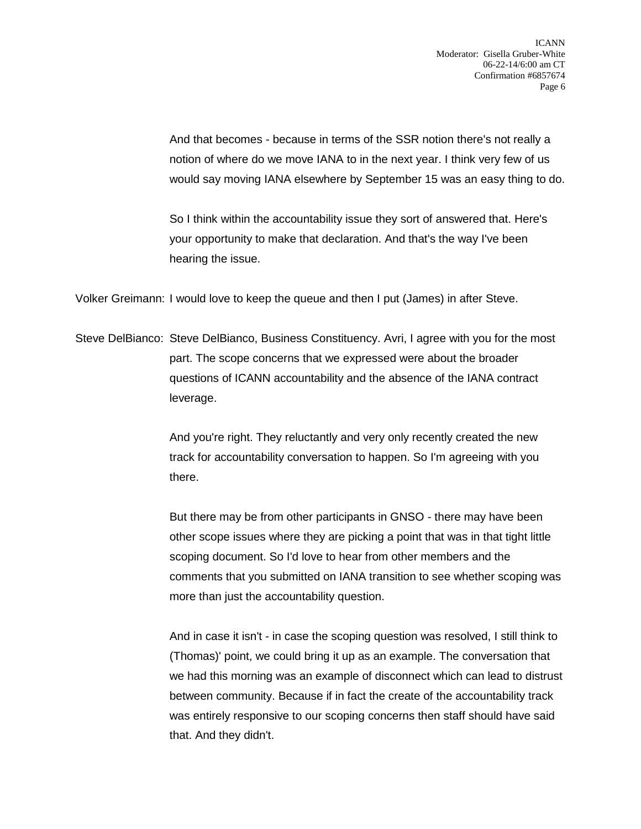And that becomes - because in terms of the SSR notion there's not really a notion of where do we move IANA to in the next year. I think very few of us would say moving IANA elsewhere by September 15 was an easy thing to do.

So I think within the accountability issue they sort of answered that. Here's your opportunity to make that declaration. And that's the way I've been hearing the issue.

Volker Greimann: I would love to keep the queue and then I put (James) in after Steve.

Steve DelBianco: Steve DelBianco, Business Constituency. Avri, I agree with you for the most part. The scope concerns that we expressed were about the broader questions of ICANN accountability and the absence of the IANA contract leverage.

> And you're right. They reluctantly and very only recently created the new track for accountability conversation to happen. So I'm agreeing with you there.

But there may be from other participants in GNSO - there may have been other scope issues where they are picking a point that was in that tight little scoping document. So I'd love to hear from other members and the comments that you submitted on IANA transition to see whether scoping was more than just the accountability question.

And in case it isn't - in case the scoping question was resolved, I still think to (Thomas)' point, we could bring it up as an example. The conversation that we had this morning was an example of disconnect which can lead to distrust between community. Because if in fact the create of the accountability track was entirely responsive to our scoping concerns then staff should have said that. And they didn't.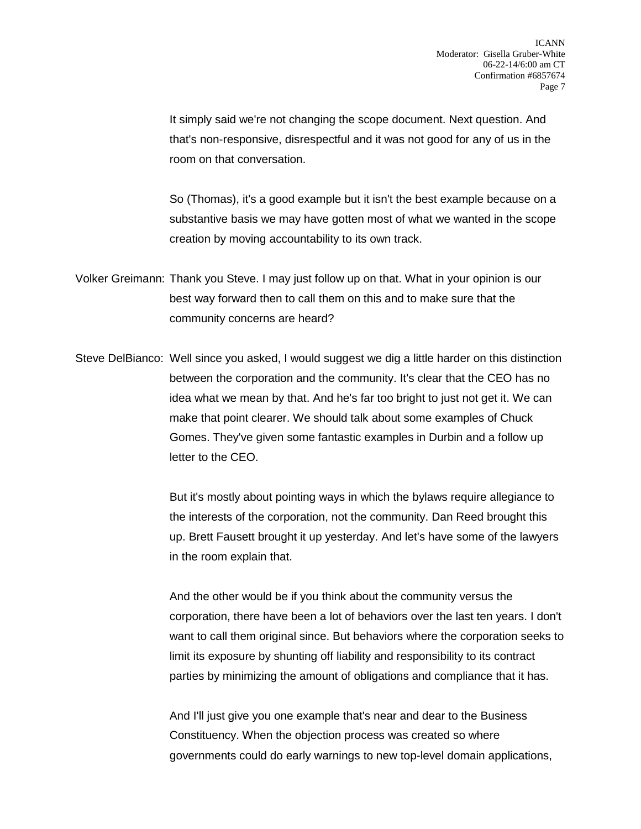It simply said we're not changing the scope document. Next question. And that's non-responsive, disrespectful and it was not good for any of us in the room on that conversation.

So (Thomas), it's a good example but it isn't the best example because on a substantive basis we may have gotten most of what we wanted in the scope creation by moving accountability to its own track.

- Volker Greimann: Thank you Steve. I may just follow up on that. What in your opinion is our best way forward then to call them on this and to make sure that the community concerns are heard?
- Steve DelBianco: Well since you asked, I would suggest we dig a little harder on this distinction between the corporation and the community. It's clear that the CEO has no idea what we mean by that. And he's far too bright to just not get it. We can make that point clearer. We should talk about some examples of Chuck Gomes. They've given some fantastic examples in Durbin and a follow up letter to the CEO.

But it's mostly about pointing ways in which the bylaws require allegiance to the interests of the corporation, not the community. Dan Reed brought this up. Brett Fausett brought it up yesterday. And let's have some of the lawyers in the room explain that.

And the other would be if you think about the community versus the corporation, there have been a lot of behaviors over the last ten years. I don't want to call them original since. But behaviors where the corporation seeks to limit its exposure by shunting off liability and responsibility to its contract parties by minimizing the amount of obligations and compliance that it has.

And I'll just give you one example that's near and dear to the Business Constituency. When the objection process was created so where governments could do early warnings to new top-level domain applications,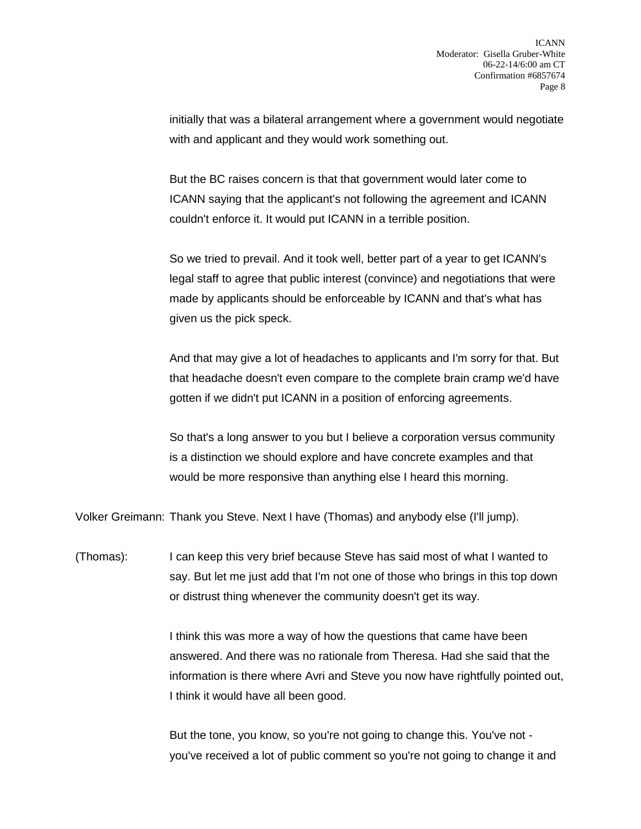initially that was a bilateral arrangement where a government would negotiate with and applicant and they would work something out.

But the BC raises concern is that that government would later come to ICANN saying that the applicant's not following the agreement and ICANN couldn't enforce it. It would put ICANN in a terrible position.

So we tried to prevail. And it took well, better part of a year to get ICANN's legal staff to agree that public interest (convince) and negotiations that were made by applicants should be enforceable by ICANN and that's what has given us the pick speck.

And that may give a lot of headaches to applicants and I'm sorry for that. But that headache doesn't even compare to the complete brain cramp we'd have gotten if we didn't put ICANN in a position of enforcing agreements.

So that's a long answer to you but I believe a corporation versus community is a distinction we should explore and have concrete examples and that would be more responsive than anything else I heard this morning.

Volker Greimann: Thank you Steve. Next I have (Thomas) and anybody else (I'll jump).

(Thomas): I can keep this very brief because Steve has said most of what I wanted to say. But let me just add that I'm not one of those who brings in this top down or distrust thing whenever the community doesn't get its way.

> I think this was more a way of how the questions that came have been answered. And there was no rationale from Theresa. Had she said that the information is there where Avri and Steve you now have rightfully pointed out, I think it would have all been good.

But the tone, you know, so you're not going to change this. You've not you've received a lot of public comment so you're not going to change it and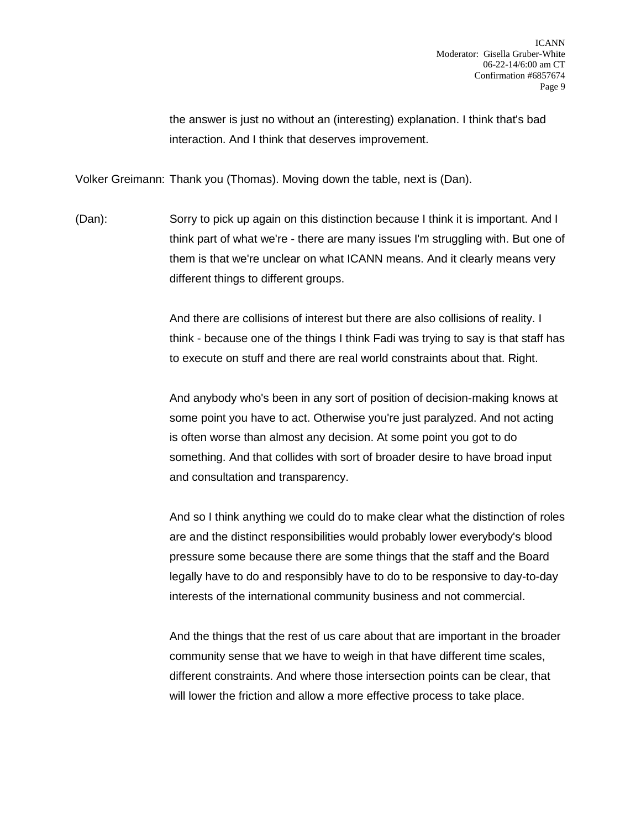the answer is just no without an (interesting) explanation. I think that's bad interaction. And I think that deserves improvement.

Volker Greimann: Thank you (Thomas). Moving down the table, next is (Dan).

(Dan): Sorry to pick up again on this distinction because I think it is important. And I think part of what we're - there are many issues I'm struggling with. But one of them is that we're unclear on what ICANN means. And it clearly means very different things to different groups.

> And there are collisions of interest but there are also collisions of reality. I think - because one of the things I think Fadi was trying to say is that staff has to execute on stuff and there are real world constraints about that. Right.

And anybody who's been in any sort of position of decision-making knows at some point you have to act. Otherwise you're just paralyzed. And not acting is often worse than almost any decision. At some point you got to do something. And that collides with sort of broader desire to have broad input and consultation and transparency.

And so I think anything we could do to make clear what the distinction of roles are and the distinct responsibilities would probably lower everybody's blood pressure some because there are some things that the staff and the Board legally have to do and responsibly have to do to be responsive to day-to-day interests of the international community business and not commercial.

And the things that the rest of us care about that are important in the broader community sense that we have to weigh in that have different time scales, different constraints. And where those intersection points can be clear, that will lower the friction and allow a more effective process to take place.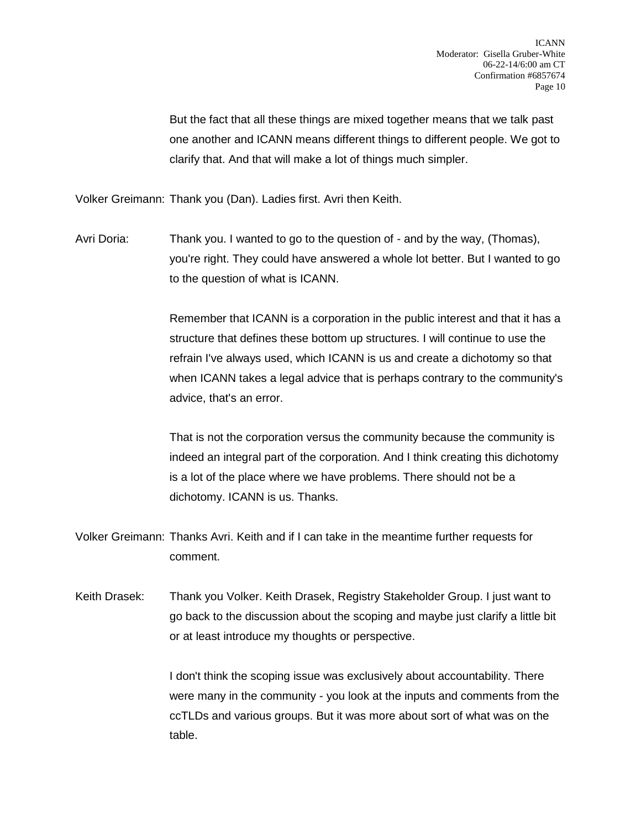But the fact that all these things are mixed together means that we talk past one another and ICANN means different things to different people. We got to clarify that. And that will make a lot of things much simpler.

Volker Greimann: Thank you (Dan). Ladies first. Avri then Keith.

Avri Doria: Thank you. I wanted to go to the question of - and by the way, (Thomas), you're right. They could have answered a whole lot better. But I wanted to go to the question of what is ICANN.

> Remember that ICANN is a corporation in the public interest and that it has a structure that defines these bottom up structures. I will continue to use the refrain I've always used, which ICANN is us and create a dichotomy so that when ICANN takes a legal advice that is perhaps contrary to the community's advice, that's an error.

> That is not the corporation versus the community because the community is indeed an integral part of the corporation. And I think creating this dichotomy is a lot of the place where we have problems. There should not be a dichotomy. ICANN is us. Thanks.

Volker Greimann: Thanks Avri. Keith and if I can take in the meantime further requests for comment.

Keith Drasek: Thank you Volker. Keith Drasek, Registry Stakeholder Group. I just want to go back to the discussion about the scoping and maybe just clarify a little bit or at least introduce my thoughts or perspective.

> I don't think the scoping issue was exclusively about accountability. There were many in the community - you look at the inputs and comments from the ccTLDs and various groups. But it was more about sort of what was on the table.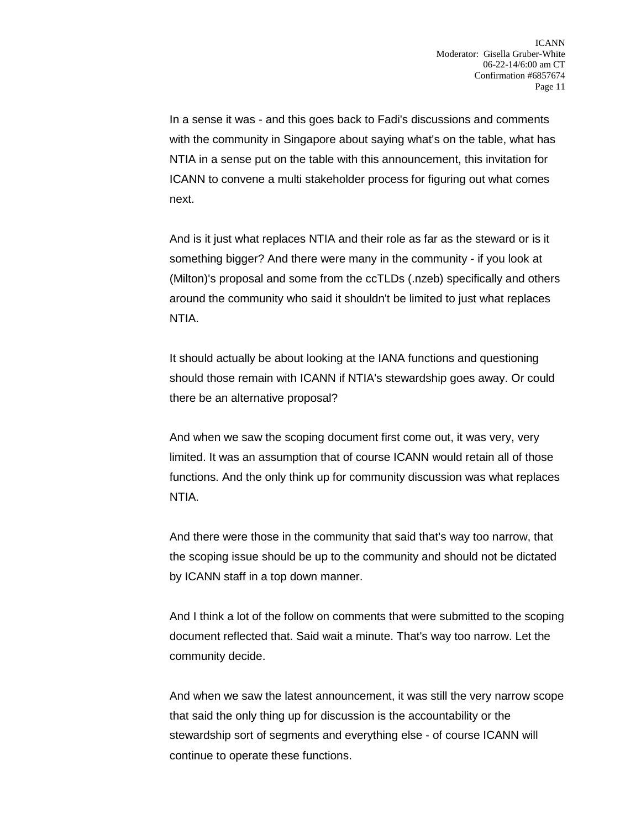In a sense it was - and this goes back to Fadi's discussions and comments with the community in Singapore about saying what's on the table, what has NTIA in a sense put on the table with this announcement, this invitation for ICANN to convene a multi stakeholder process for figuring out what comes next.

And is it just what replaces NTIA and their role as far as the steward or is it something bigger? And there were many in the community - if you look at (Milton)'s proposal and some from the ccTLDs (.nzeb) specifically and others around the community who said it shouldn't be limited to just what replaces NTIA.

It should actually be about looking at the IANA functions and questioning should those remain with ICANN if NTIA's stewardship goes away. Or could there be an alternative proposal?

And when we saw the scoping document first come out, it was very, very limited. It was an assumption that of course ICANN would retain all of those functions. And the only think up for community discussion was what replaces NTIA.

And there were those in the community that said that's way too narrow, that the scoping issue should be up to the community and should not be dictated by ICANN staff in a top down manner.

And I think a lot of the follow on comments that were submitted to the scoping document reflected that. Said wait a minute. That's way too narrow. Let the community decide.

And when we saw the latest announcement, it was still the very narrow scope that said the only thing up for discussion is the accountability or the stewardship sort of segments and everything else - of course ICANN will continue to operate these functions.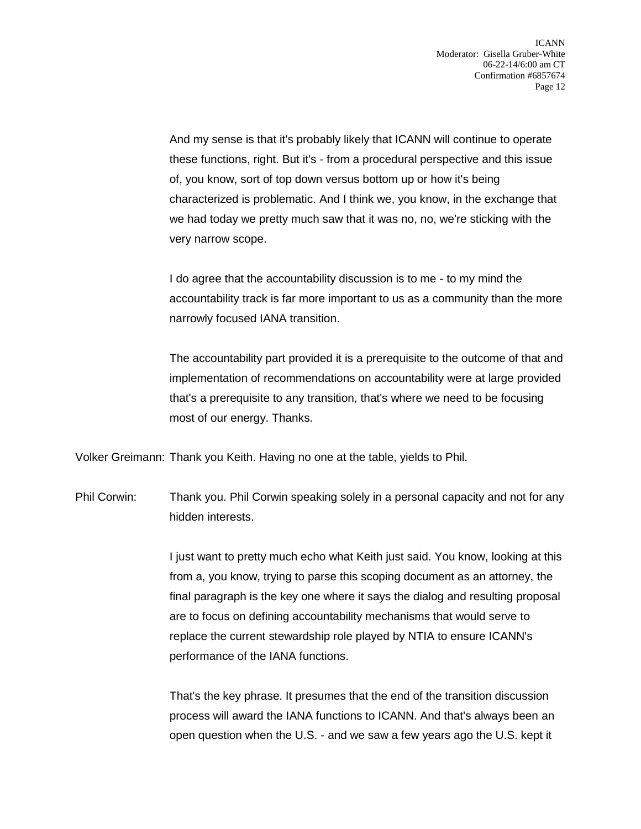And my sense is that it's probably likely that ICANN will continue to operate these functions, right. But it's - from a procedural perspective and this issue of, you know, sort of top down versus bottom up or how it's being characterized is problematic. And I think we, you know, in the exchange that we had today we pretty much saw that it was no, no, we're sticking with the very narrow scope.

I do agree that the accountability discussion is to me - to my mind the accountability track is far more important to us as a community than the more narrowly focused IANA transition.

The accountability part provided it is a prerequisite to the outcome of that and implementation of recommendations on accountability were at large provided that's a prerequisite to any transition, that's where we need to be focusing most of our energy. Thanks.

Volker Greimann: Thank you Keith. Having no one at the table, yields to Phil.

Phil Corwin: Thank you. Phil Corwin speaking solely in a personal capacity and not for any hidden interests.

> I just want to pretty much echo what Keith just said. You know, looking at this from a, you know, trying to parse this scoping document as an attorney, the final paragraph is the key one where it says the dialog and resulting proposal are to focus on defining accountability mechanisms that would serve to replace the current stewardship role played by NTIA to ensure ICANN's performance of the IANA functions.

That's the key phrase. It presumes that the end of the transition discussion process will award the IANA functions to ICANN. And that's always been an open question when the U.S. - and we saw a few years ago the U.S. kept it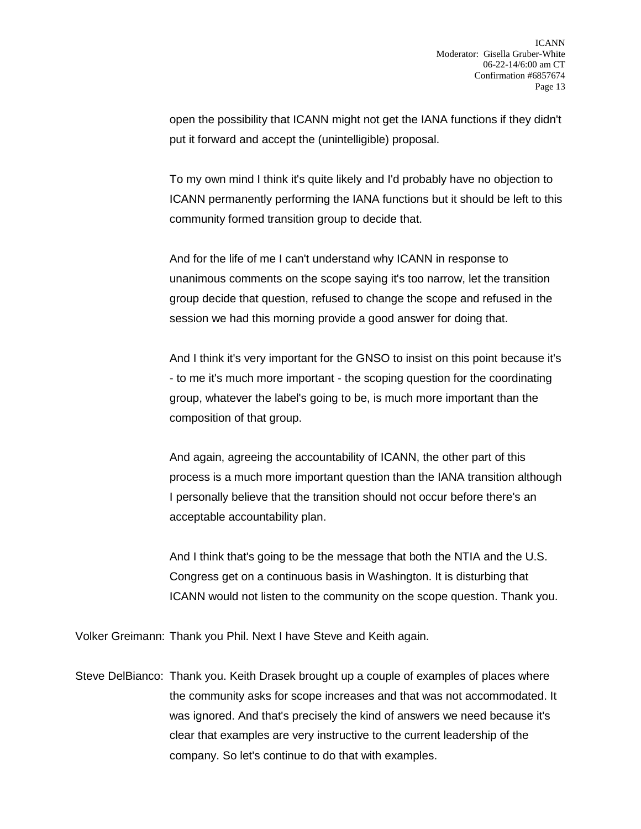open the possibility that ICANN might not get the IANA functions if they didn't put it forward and accept the (unintelligible) proposal.

To my own mind I think it's quite likely and I'd probably have no objection to ICANN permanently performing the IANA functions but it should be left to this community formed transition group to decide that.

And for the life of me I can't understand why ICANN in response to unanimous comments on the scope saying it's too narrow, let the transition group decide that question, refused to change the scope and refused in the session we had this morning provide a good answer for doing that.

And I think it's very important for the GNSO to insist on this point because it's - to me it's much more important - the scoping question for the coordinating group, whatever the label's going to be, is much more important than the composition of that group.

And again, agreeing the accountability of ICANN, the other part of this process is a much more important question than the IANA transition although I personally believe that the transition should not occur before there's an acceptable accountability plan.

And I think that's going to be the message that both the NTIA and the U.S. Congress get on a continuous basis in Washington. It is disturbing that ICANN would not listen to the community on the scope question. Thank you.

Volker Greimann: Thank you Phil. Next I have Steve and Keith again.

Steve DelBianco: Thank you. Keith Drasek brought up a couple of examples of places where the community asks for scope increases and that was not accommodated. It was ignored. And that's precisely the kind of answers we need because it's clear that examples are very instructive to the current leadership of the company. So let's continue to do that with examples.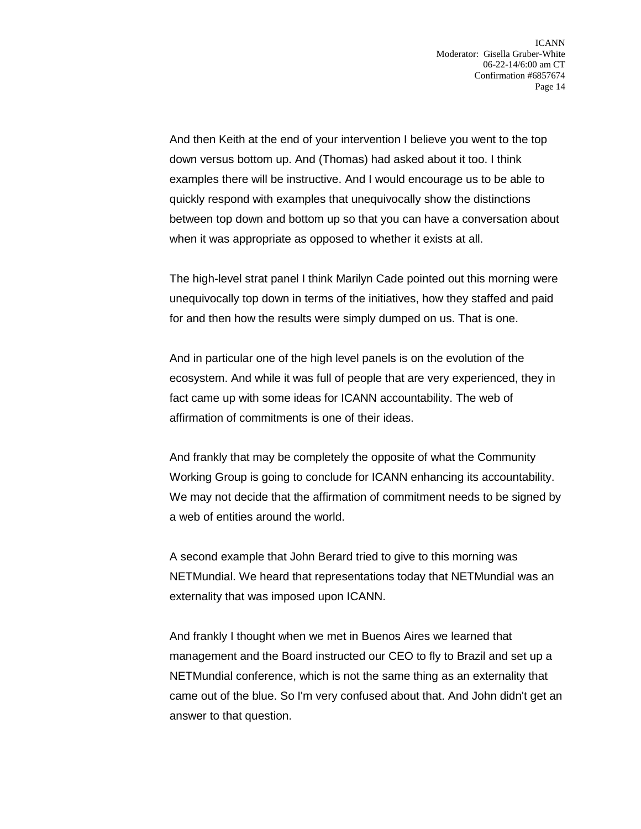And then Keith at the end of your intervention I believe you went to the top down versus bottom up. And (Thomas) had asked about it too. I think examples there will be instructive. And I would encourage us to be able to quickly respond with examples that unequivocally show the distinctions between top down and bottom up so that you can have a conversation about when it was appropriate as opposed to whether it exists at all.

The high-level strat panel I think Marilyn Cade pointed out this morning were unequivocally top down in terms of the initiatives, how they staffed and paid for and then how the results were simply dumped on us. That is one.

And in particular one of the high level panels is on the evolution of the ecosystem. And while it was full of people that are very experienced, they in fact came up with some ideas for ICANN accountability. The web of affirmation of commitments is one of their ideas.

And frankly that may be completely the opposite of what the Community Working Group is going to conclude for ICANN enhancing its accountability. We may not decide that the affirmation of commitment needs to be signed by a web of entities around the world.

A second example that John Berard tried to give to this morning was NETMundial. We heard that representations today that NETMundial was an externality that was imposed upon ICANN.

And frankly I thought when we met in Buenos Aires we learned that management and the Board instructed our CEO to fly to Brazil and set up a NETMundial conference, which is not the same thing as an externality that came out of the blue. So I'm very confused about that. And John didn't get an answer to that question.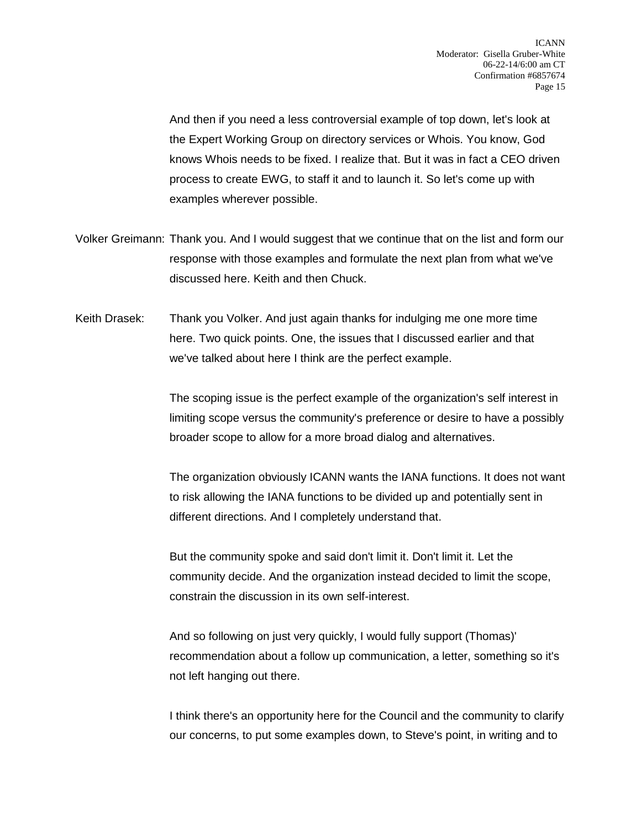And then if you need a less controversial example of top down, let's look at the Expert Working Group on directory services or Whois. You know, God knows Whois needs to be fixed. I realize that. But it was in fact a CEO driven process to create EWG, to staff it and to launch it. So let's come up with examples wherever possible.

- Volker Greimann: Thank you. And I would suggest that we continue that on the list and form our response with those examples and formulate the next plan from what we've discussed here. Keith and then Chuck.
- Keith Drasek: Thank you Volker. And just again thanks for indulging me one more time here. Two quick points. One, the issues that I discussed earlier and that we've talked about here I think are the perfect example.

The scoping issue is the perfect example of the organization's self interest in limiting scope versus the community's preference or desire to have a possibly broader scope to allow for a more broad dialog and alternatives.

The organization obviously ICANN wants the IANA functions. It does not want to risk allowing the IANA functions to be divided up and potentially sent in different directions. And I completely understand that.

But the community spoke and said don't limit it. Don't limit it. Let the community decide. And the organization instead decided to limit the scope, constrain the discussion in its own self-interest.

And so following on just very quickly, I would fully support (Thomas)' recommendation about a follow up communication, a letter, something so it's not left hanging out there.

I think there's an opportunity here for the Council and the community to clarify our concerns, to put some examples down, to Steve's point, in writing and to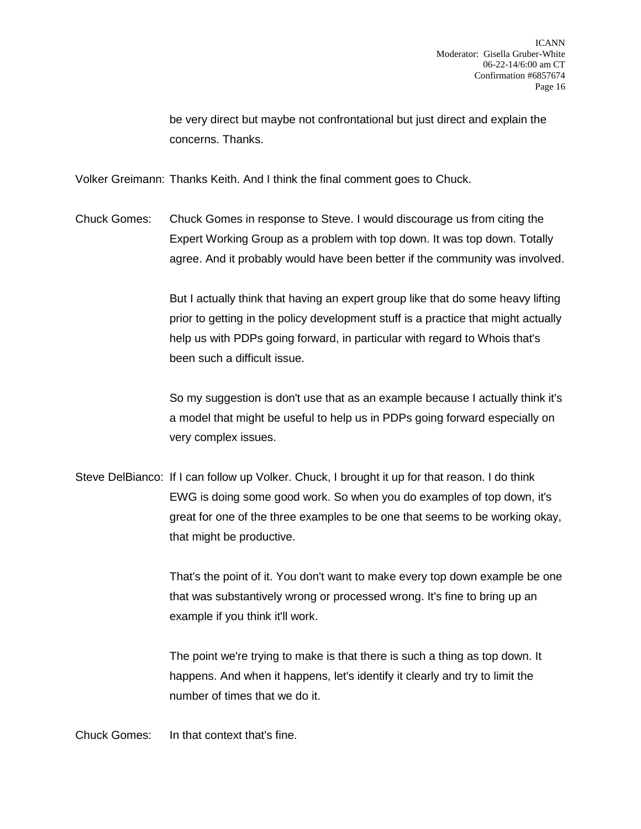be very direct but maybe not confrontational but just direct and explain the concerns. Thanks.

Volker Greimann: Thanks Keith. And I think the final comment goes to Chuck.

Chuck Gomes: Chuck Gomes in response to Steve. I would discourage us from citing the Expert Working Group as a problem with top down. It was top down. Totally agree. And it probably would have been better if the community was involved.

> But I actually think that having an expert group like that do some heavy lifting prior to getting in the policy development stuff is a practice that might actually help us with PDPs going forward, in particular with regard to Whois that's been such a difficult issue.

> So my suggestion is don't use that as an example because I actually think it's a model that might be useful to help us in PDPs going forward especially on very complex issues.

Steve DelBianco: If I can follow up Volker. Chuck, I brought it up for that reason. I do think EWG is doing some good work. So when you do examples of top down, it's great for one of the three examples to be one that seems to be working okay, that might be productive.

> That's the point of it. You don't want to make every top down example be one that was substantively wrong or processed wrong. It's fine to bring up an example if you think it'll work.

The point we're trying to make is that there is such a thing as top down. It happens. And when it happens, let's identify it clearly and try to limit the number of times that we do it.

Chuck Gomes: In that context that's fine.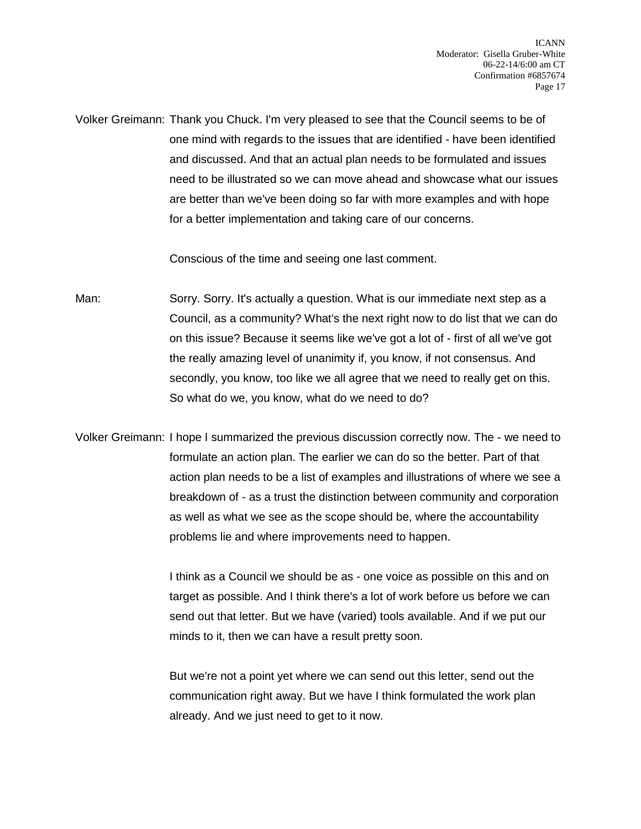Volker Greimann: Thank you Chuck. I'm very pleased to see that the Council seems to be of one mind with regards to the issues that are identified - have been identified and discussed. And that an actual plan needs to be formulated and issues need to be illustrated so we can move ahead and showcase what our issues are better than we've been doing so far with more examples and with hope for a better implementation and taking care of our concerns.

Conscious of the time and seeing one last comment.

Man: Sorry. Sorry. It's actually a question. What is our immediate next step as a Council, as a community? What's the next right now to do list that we can do on this issue? Because it seems like we've got a lot of - first of all we've got the really amazing level of unanimity if, you know, if not consensus. And secondly, you know, too like we all agree that we need to really get on this. So what do we, you know, what do we need to do?

Volker Greimann: I hope I summarized the previous discussion correctly now. The - we need to formulate an action plan. The earlier we can do so the better. Part of that action plan needs to be a list of examples and illustrations of where we see a breakdown of - as a trust the distinction between community and corporation as well as what we see as the scope should be, where the accountability problems lie and where improvements need to happen.

> I think as a Council we should be as - one voice as possible on this and on target as possible. And I think there's a lot of work before us before we can send out that letter. But we have (varied) tools available. And if we put our minds to it, then we can have a result pretty soon.

But we're not a point yet where we can send out this letter, send out the communication right away. But we have I think formulated the work plan already. And we just need to get to it now.